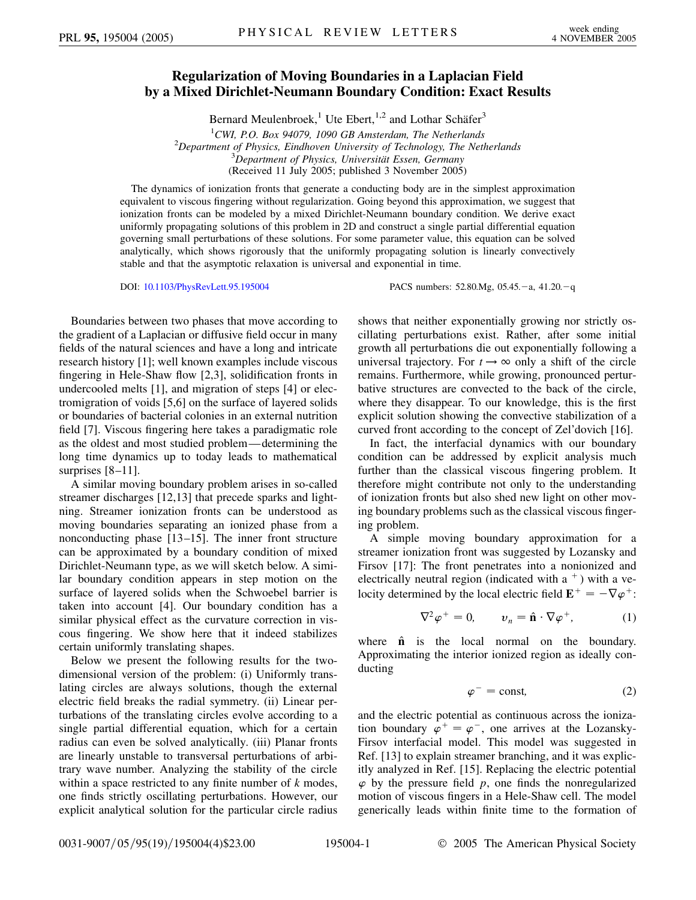## **Regularization of Moving Boundaries in a Laplacian Field by a Mixed Dirichlet-Neumann Boundary Condition: Exact Results**

Bernard Meulenbroek,<sup>1</sup> Ute Ebert,<sup>1,2</sup> and Lothar Schäfer<sup>3</sup>

<sup>1</sup> CWI, P.O. Box 94079, 1090 GB Amsterdam, The Netherlands<sup>2</sup> Department of Physics. Eindhoven University of Technology. The Net *Department of Physics, Eindhoven University of Technology, The Netherlands* <sup>3</sup> <sup>3</sup>Department of Physics, Universität Essen, Germany (Received 11 July 2005; published 3 November 2005)

The dynamics of ionization fronts that generate a conducting body are in the simplest approximation equivalent to viscous fingering without regularization. Going beyond this approximation, we suggest that ionization fronts can be modeled by a mixed Dirichlet-Neumann boundary condition. We derive exact uniformly propagating solutions of this problem in 2D and construct a single partial differential equation governing small perturbations of these solutions. For some parameter value, this equation can be solved analytically, which shows rigorously that the uniformly propagating solution is linearly convectively stable and that the asymptotic relaxation is universal and exponential in time.

DOI: [10.1103/PhysRevLett.95.195004](http://dx.doi.org/10.1103/PhysRevLett.95.195004) PACS numbers: 52.80.Mg, 05.45. -a, 41.20. -q

Boundaries between two phases that move according to the gradient of a Laplacian or diffusive field occur in many fields of the natural sciences and have a long and intricate research history [1]; well known examples include viscous fingering in Hele-Shaw flow [2,3], solidification fronts in undercooled melts [1], and migration of steps [4] or electromigration of voids [5,6] on the surface of layered solids or boundaries of bacterial colonies in an external nutrition field [7]. Viscous fingering here takes a paradigmatic role as the oldest and most studied problem—determining the long time dynamics up to today leads to mathematical surprises [8–11].

A similar moving boundary problem arises in so-called streamer discharges [12,13] that precede sparks and lightning. Streamer ionization fronts can be understood as moving boundaries separating an ionized phase from a nonconducting phase [13–15]. The inner front structure can be approximated by a boundary condition of mixed Dirichlet-Neumann type, as we will sketch below. A similar boundary condition appears in step motion on the surface of layered solids when the Schwoebel barrier is taken into account [4]. Our boundary condition has a similar physical effect as the curvature correction in viscous fingering. We show here that it indeed stabilizes certain uniformly translating shapes.

Below we present the following results for the twodimensional version of the problem: (i) Uniformly translating circles are always solutions, though the external electric field breaks the radial symmetry. (ii) Linear perturbations of the translating circles evolve according to a single partial differential equation, which for a certain radius can even be solved analytically. (iii) Planar fronts are linearly unstable to transversal perturbations of arbitrary wave number. Analyzing the stability of the circle within a space restricted to any finite number of *k* modes, one finds strictly oscillating perturbations. However, our explicit analytical solution for the particular circle radius shows that neither exponentially growing nor strictly oscillating perturbations exist. Rather, after some initial growth all perturbations die out exponentially following a universal trajectory. For  $t \rightarrow \infty$  only a shift of the circle remains. Furthermore, while growing, pronounced perturbative structures are convected to the back of the circle, where they disappear. To our knowledge, this is the first explicit solution showing the convective stabilization of a curved front according to the concept of Zel'dovich [16].

In fact, the interfacial dynamics with our boundary condition can be addressed by explicit analysis much further than the classical viscous fingering problem. It therefore might contribute not only to the understanding of ionization fronts but also shed new light on other moving boundary problems such as the classical viscous fingering problem.

A simple moving boundary approximation for a streamer ionization front was suggested by Lozansky and Firsov [17]: The front penetrates into a nonionized and electrically neutral region (indicated with a  $+$ ) with a velocity determined by the local electric field  $\mathbf{E}^+ = -\nabla \varphi^+$ :

$$
\nabla^2 \varphi^+ = 0, \qquad \nu_n = \hat{\mathbf{n}} \cdot \nabla \varphi^+, \tag{1}
$$

where  $\hat{\bf{n}}$  is the local normal on the boundary. Approximating the interior ionized region as ideally conducting

$$
\varphi^- = \text{const},\tag{2}
$$

and the electric potential as continuous across the ionization boundary  $\varphi^+ = \varphi^-$ , one arrives at the Lozansky-Firsov interfacial model. This model was suggested in Ref. [13] to explain streamer branching, and it was explicitly analyzed in Ref. [15]. Replacing the electric potential  $\varphi$  by the pressure field  $p$ , one finds the nonregularized motion of viscous fingers in a Hele-Shaw cell. The model generically leads within finite time to the formation of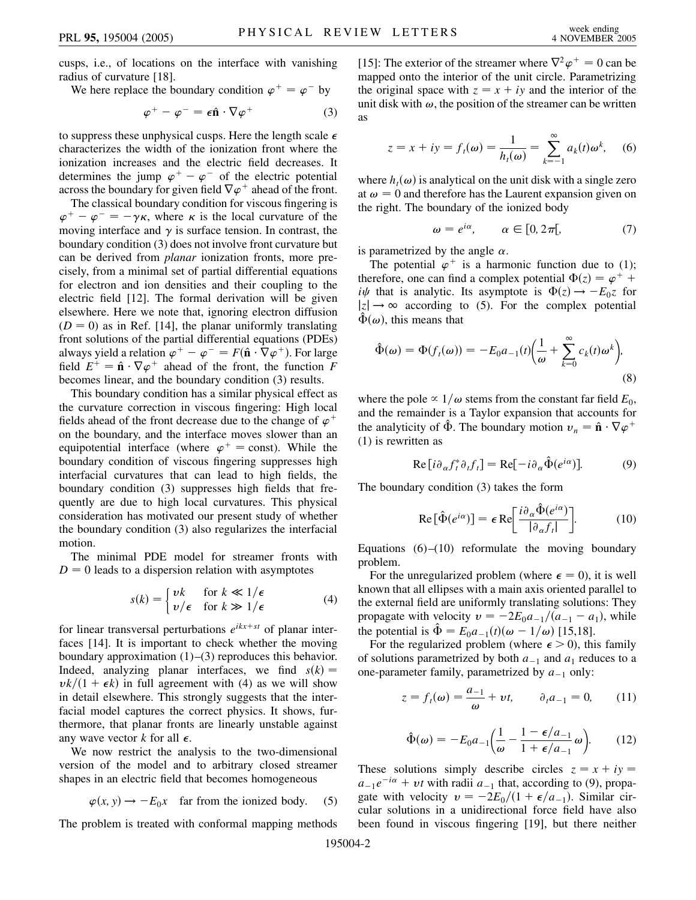cusps, i.e., of locations on the interface with vanishing radius of curvature [18].

We here replace the boundary condition  $\varphi^+ = \varphi^-$  by

$$
\varphi^+ - \varphi^- = \epsilon \hat{\mathbf{n}} \cdot \nabla \varphi^+ \tag{3}
$$

to suppress these unphysical cusps. Here the length scale  $\epsilon$ characterizes the width of the ionization front where the ionization increases and the electric field decreases. It determines the jump  $\varphi^+ - \varphi^-$  of the electric potential across the boundary for given field  $\nabla \varphi^+$  ahead of the front.

The classical boundary condition for viscous fingering is  $\varphi^+ - \varphi^- = -\gamma \kappa$ , where  $\kappa$  is the local curvature of the moving interface and  $\gamma$  is surface tension. In contrast, the boundary condition (3) does not involve front curvature but can be derived from *planar* ionization fronts, more precisely, from a minimal set of partial differential equations for electron and ion densities and their coupling to the electric field [12]. The formal derivation will be given elsewhere. Here we note that, ignoring electron diffusion  $(D = 0)$  as in Ref. [14], the planar uniformly translating front solutions of the partial differential equations (PDEs) always yield a relation  $\varphi^+ - \varphi^- = F(\hat{\mathbf{n}} \cdot \nabla \varphi^+)$ . For large field  $E^+ = \hat{\mathbf{n}} \cdot \nabla \varphi^+$  ahead of the front, the function *F* becomes linear, and the boundary condition (3) results.

This boundary condition has a similar physical effect as the curvature correction in viscous fingering: High local fields ahead of the front decrease due to the change of  $\varphi$ <sup>+</sup> on the boundary, and the interface moves slower than an equipotential interface (where  $\varphi^+$  = const). While the boundary condition of viscous fingering suppresses high interfacial curvatures that can lead to high fields, the boundary condition (3) suppresses high fields that frequently are due to high local curvatures. This physical consideration has motivated our present study of whether the boundary condition (3) also regularizes the interfacial motion.

The minimal PDE model for streamer fronts with  $D = 0$  leads to a dispersion relation with asymptotes

$$
s(k) = \begin{cases} vk & \text{for } k \ll 1/\epsilon \\ v/\epsilon & \text{for } k \gg 1/\epsilon \end{cases}
$$
 (4)

for linear transversal perturbations *eikx*-*st* of planar interfaces [14]. It is important to check whether the moving boundary approximation  $(1)$ – $(3)$  reproduces this behavior. Indeed, analyzing planar interfaces, we find  $s(k)$  $vk/(1 + \epsilon k)$  in full agreement with (4) as we will show in detail elsewhere. This strongly suggests that the interfacial model captures the correct physics. It shows, furthermore, that planar fronts are linearly unstable against any wave vector  $k$  for all  $\epsilon$ .

We now restrict the analysis to the two-dimensional version of the model and to arbitrary closed streamer shapes in an electric field that becomes homogeneous

$$
\varphi(x, y) \to -E_0 x \quad \text{far from the ionized body.} \tag{5}
$$

The problem is treated with conformal mapping methods

[15]: The exterior of the streamer where  $\nabla^2 \varphi^+ = 0$  can be mapped onto the interior of the unit circle. Parametrizing the original space with  $z = x + iy$  and the interior of the unit disk with  $\omega$ , the position of the streamer can be written as

$$
z = x + iy = f_t(\omega) = \frac{1}{h_t(\omega)} = \sum_{k=-1}^{\infty} a_k(t)\omega^k, \quad (6)
$$

where  $h_t(\omega)$  is analytical on the unit disk with a single zero at  $\omega = 0$  and therefore has the Laurent expansion given on the right. The boundary of the ionized body

$$
\omega = e^{i\alpha}, \qquad \alpha \in [0, 2\pi[, \tag{7}
$$

is parametrized by the angle  $\alpha$ .

The potential  $\varphi^+$  is a harmonic function due to (1); therefore, one can find a complex potential  $\Phi(z) = \varphi^+$  + *i* $\psi$  that is analytic. Its asymptote is  $\Phi(z) \rightarrow -E_0 z$  for  $|z| \rightarrow \infty$  according to (5). For the complex potential  $\hat{\Phi}(\omega)$ , this means that

$$
\hat{\Phi}(\omega) = \Phi(f_t(\omega)) = -E_0 a_{-1}(t) \left(\frac{1}{\omega} + \sum_{k=0}^{\infty} c_k(t) \omega^k\right),\tag{8}
$$

where the pole  $\propto 1/\omega$  stems from the constant far field  $E_0$ , and the remainder is a Taylor expansion that accounts for the analyticity of  $\hat{\Phi}$ . The boundary motion  $v_n = \hat{\mathbf{n}} \cdot \nabla \varphi^+$ (1) is rewritten as

$$
\operatorname{Re}\left[i\partial_{\alpha}f_{t}^{*}\partial_{t}f_{t}\right] = \operatorname{Re}\left[-i\partial_{\alpha}\hat{\Phi}(e^{i\alpha})\right].\tag{9}
$$

The boundary condition (3) takes the form

$$
\operatorname{Re}\left[\hat{\Phi}(e^{i\alpha})\right] = \epsilon \operatorname{Re}\left[\frac{i\partial_{\alpha}\hat{\Phi}(e^{i\alpha})}{|\partial_{\alpha}f_{t}|}\right].\tag{10}
$$

Equations  $(6)$ – $(10)$  reformulate the moving boundary problem.

For the unregularized problem (where  $\epsilon = 0$ ), it is well known that all ellipses with a main axis oriented parallel to the external field are uniformly translating solutions: They propagate with velocity  $v = -2E_0a_{-1}/(a_{-1} - a_1)$ , while the potential is  $\hat{\Phi} = E_0 a_{-1}(t) (\omega - 1/\omega)$  [15,18].

For the regularized problem (where  $\epsilon > 0$ ), this family of solutions parametrized by both  $a_{-1}$  and  $a_1$  reduces to a one-parameter family, parametrized by  $a_{-1}$  only:

$$
z = f_t(\omega) = \frac{a_{-1}}{\omega} + vt, \qquad \partial_t a_{-1} = 0,
$$
 (11)

$$
\hat{\Phi}(\omega) = -E_0 a_{-1} \left( \frac{1}{\omega} - \frac{1 - \epsilon/a_{-1}}{1 + \epsilon/a_{-1}} \omega \right). \tag{12}
$$

These solutions simply describe circles  $z = x + iy$  $a_{-1}e^{-i\alpha} + vt$  with radii  $a_{-1}$  that, according to (9), propagate with velocity  $v = -2E_0/(1 + \epsilon/a_{-1})$ . Similar circular solutions in a unidirectional force field have also been found in viscous fingering [19], but there neither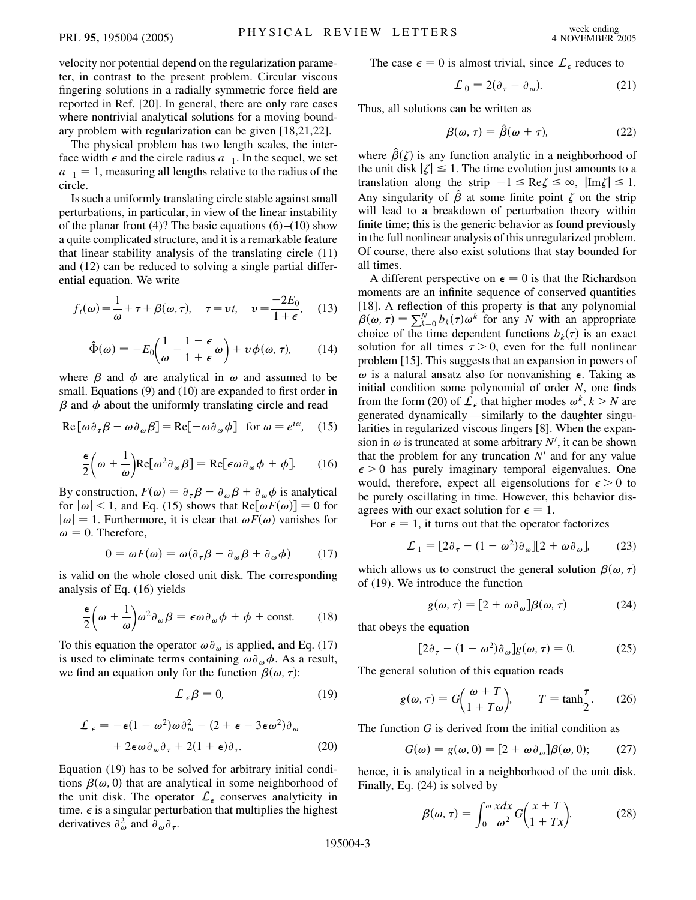velocity nor potential depend on the regularization parameter, in contrast to the present problem. Circular viscous fingering solutions in a radially symmetric force field are reported in Ref. [20]. In general, there are only rare cases where nontrivial analytical solutions for a moving boundary problem with regularization can be given [18,21,22].

The physical problem has two length scales, the interface width  $\epsilon$  and the circle radius  $a_{-1}$ . In the sequel, we set  $a_{-1} = 1$ , measuring all lengths relative to the radius of the circle.

Is such a uniformly translating circle stable against small perturbations, in particular, in view of the linear instability of the planar front (4)? The basic equations  $(6)$ – $(10)$  show a quite complicated structure, and it is a remarkable feature that linear stability analysis of the translating circle (11) and (12) can be reduced to solving a single partial differential equation. We write

$$
f_t(\omega) = \frac{1}{\omega} + \tau + \beta(\omega, \tau), \quad \tau = \nu t, \quad \nu = \frac{-2E_0}{1 + \epsilon}, \quad (13)
$$

$$
\hat{\Phi}(\omega) = -E_0 \left( \frac{1}{\omega} - \frac{1 - \epsilon}{1 + \epsilon} \omega \right) + \nu \phi(\omega, \tau), \qquad (14)
$$

where  $\beta$  and  $\phi$  are analytical in  $\omega$  and assumed to be small. Equations (9) and (10) are expanded to first order in  $\beta$  and  $\phi$  about the uniformly translating circle and read

$$
\text{Re}[\omega \partial_{\tau} \beta - \omega \partial_{\omega} \beta] = \text{Re}[-\omega \partial_{\omega} \phi] \text{ for } \omega = e^{i\alpha}, \quad (15)
$$

$$
\frac{\epsilon}{2} \left( \omega + \frac{1}{\omega} \right) \text{Re}[\omega^2 \partial_{\omega} \beta] = \text{Re}[\epsilon \omega \partial_{\omega} \phi + \phi]. \tag{16}
$$

By construction,  $F(\omega) = \partial_{\tau} \beta - \partial_{\omega} \beta + \partial_{\omega} \phi$  is analytical for  $|\omega|$  < 1, and Eq. (15) shows that Re $[\omega F(\omega)] = 0$  for  $|\omega| = 1$ . Furthermore, it is clear that  $\omega F(\omega)$  vanishes for  $\omega = 0$ . Therefore,

$$
0 = \omega F(\omega) = \omega (\partial_{\tau} \beta - \partial_{\omega} \beta + \partial_{\omega} \phi) \tag{17}
$$

is valid on the whole closed unit disk. The corresponding analysis of Eq. (16) yields

$$
\frac{\epsilon}{2} \left( \omega + \frac{1}{\omega} \right) \omega^2 \partial_{\omega} \beta = \epsilon \omega \partial_{\omega} \phi + \phi + \text{const.} \qquad (18)
$$

To this equation the operator  $\omega \partial_{\omega}$  is applied, and Eq. (17) is used to eliminate terms containing  $\omega \partial_{\omega} \phi$ . As a result, we find an equation only for the function  $\beta(\omega, \tau)$ :

$$
\mathcal{L}_{\epsilon}\beta = 0,\tag{19}
$$

$$
\mathcal{L}_{\epsilon} = -\epsilon (1 - \omega^2) \omega \partial_{\omega}^2 - (2 + \epsilon - 3\epsilon \omega^2) \partial_{\omega} \n+ 2\epsilon \omega \partial_{\omega} \partial_{\tau} + 2(1 + \epsilon) \partial_{\tau}.
$$
\n(20)

Equation (19) has to be solved for arbitrary initial conditions  $\beta(\omega, 0)$  that are analytical in some neighborhood of the unit disk. The operator  $\mathcal{L}_{\epsilon}$  conserves analyticity in time.  $\epsilon$  is a singular perturbation that multiplies the highest derivatives  $\partial_{\omega}^2$  and  $\partial_{\omega} \partial_{\tau}$ .

The case  $\epsilon = 0$  is almost trivial, since  $\mathcal{L}_{\epsilon}$  reduces to

$$
\mathcal{L}_0 = 2(\partial_\tau - \partial_\omega). \tag{21}
$$

Thus, all solutions can be written as

$$
\beta(\omega,\tau) = \hat{\beta}(\omega + \tau),\tag{22}
$$

where  $\hat{\beta}(\zeta)$  is any function analytic in a neighborhood of the unit disk  $|\zeta| \leq 1$ . The time evolution just amounts to a translation along the strip  $-1 \leq Re \zeta \leq \infty$ ,  $|\text{Im}\zeta| \leq 1$ . Any singularity of  $\hat{\beta}$  at some finite point  $\zeta$  on the strip will lead to a breakdown of perturbation theory within finite time; this is the generic behavior as found previously in the full nonlinear analysis of this unregularized problem. Of course, there also exist solutions that stay bounded for all times.

A different perspective on  $\epsilon = 0$  is that the Richardson moments are an infinite sequence of conserved quantities [18]. A reflection of this property is that any polynomial  $\beta(\omega, \tau) = \sum_{k=0}^{N} b_k(\tau) \omega^k$  for any *N* with an appropriate choice of the time dependent functions  $b_k(\tau)$  is an exact solution for all times  $\tau > 0$ , even for the full nonlinear problem [15]. This suggests that an expansion in powers of  $\omega$  is a natural ansatz also for nonvanishing  $\epsilon$ . Taking as initial condition some polynomial of order *N*, one finds from the form (20) of  $\mathcal{L}_{\epsilon}$  that higher modes  $\omega^{k}$ ,  $k > N$  are generated dynamically—similarly to the daughter singularities in regularized viscous fingers [8]. When the expansion in  $\omega$  is truncated at some arbitrary  $N'$ , it can be shown that the problem for any truncation  $N<sup>1</sup>$  and for any value  $\epsilon$  > 0 has purely imaginary temporal eigenvalues. One would, therefore, expect all eigensolutions for  $\epsilon > 0$  to be purely oscillating in time. However, this behavior disagrees with our exact solution for  $\epsilon = 1$ .

For  $\epsilon = 1$ , it turns out that the operator factorizes

$$
\mathcal{L}_1 = [2\partial_\tau - (1 - \omega^2)\partial_\omega][2 + \omega \partial_\omega], \qquad (23)
$$

which allows us to construct the general solution  $\beta(\omega, \tau)$ of (19). We introduce the function

$$
g(\omega, \tau) = [2 + \omega \partial_{\omega}] \beta(\omega, \tau) \tag{24}
$$

that obeys the equation

$$
[2\partial_{\tau} - (1 - \omega^2)\partial_{\omega}]g(\omega, \tau) = 0. \tag{25}
$$

The general solution of this equation reads

$$
g(\omega, \tau) = G\left(\frac{\omega + T}{1 + T\omega}\right), \qquad T = \tanh\frac{\tau}{2}.
$$
 (26)

The function *G* is derived from the initial condition as

$$
G(\omega) = g(\omega, 0) = [2 + \omega \partial_{\omega}] \beta(\omega, 0); \qquad (27)
$$

hence, it is analytical in a neighborhood of the unit disk. Finally, Eq. (24) is solved by

$$
\beta(\omega,\tau) = \int_0^{\omega} \frac{x dx}{\omega^2} G\left(\frac{x+T}{1+Tx}\right).
$$
 (28)

195004-3